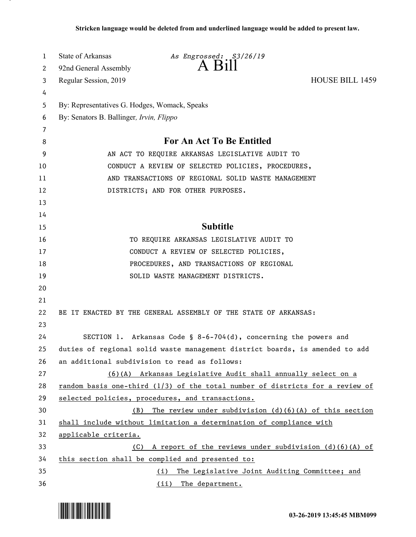| $\mathbf{1}$ | <b>State of Arkansas</b>                                            | As Engrossed: S3/26/19                                                          |                        |
|--------------|---------------------------------------------------------------------|---------------------------------------------------------------------------------|------------------------|
| 2            | 92nd General Assembly                                               | $A$ $B1II$                                                                      |                        |
| 3            | Regular Session, 2019                                               |                                                                                 | <b>HOUSE BILL 1459</b> |
| 4            |                                                                     |                                                                                 |                        |
| 5            | By: Representatives G. Hodges, Womack, Speaks                       |                                                                                 |                        |
| 6            | By: Senators B. Ballinger, Irvin, Flippo                            |                                                                                 |                        |
| 7            |                                                                     |                                                                                 |                        |
| 8            | <b>For An Act To Be Entitled</b>                                    |                                                                                 |                        |
| 9            | AN ACT TO REQUIRE ARKANSAS LEGISLATIVE AUDIT TO                     |                                                                                 |                        |
| 10           | CONDUCT A REVIEW OF SELECTED POLICIES, PROCEDURES,                  |                                                                                 |                        |
| 11           | AND TRANSACTIONS OF REGIONAL SOLID WASTE MANAGEMENT                 |                                                                                 |                        |
| 12           | DISTRICTS; AND FOR OTHER PURPOSES.                                  |                                                                                 |                        |
| 13           |                                                                     |                                                                                 |                        |
| 14           |                                                                     |                                                                                 |                        |
| 15           |                                                                     | <b>Subtitle</b>                                                                 |                        |
| 16           |                                                                     | TO REQUIRE ARKANSAS LEGISLATIVE AUDIT TO                                        |                        |
| 17           |                                                                     | CONDUCT A REVIEW OF SELECTED POLICIES,                                          |                        |
| 18           |                                                                     | PROCEDURES, AND TRANSACTIONS OF REGIONAL                                        |                        |
| 19           |                                                                     | SOLID WASTE MANAGEMENT DISTRICTS.                                               |                        |
| 20           |                                                                     |                                                                                 |                        |
| 21           |                                                                     |                                                                                 |                        |
| 22           |                                                                     | BE IT ENACTED BY THE GENERAL ASSEMBLY OF THE STATE OF ARKANSAS:                 |                        |
| 23           |                                                                     |                                                                                 |                        |
| 24           |                                                                     | SECTION 1. Arkansas Code § 8-6-704(d), concerning the powers and                |                        |
| 25           |                                                                     | duties of regional solid waste management district boards, is amended to add    |                        |
| 26           |                                                                     | an additional subdivision to read as follows:                                   |                        |
| 27           |                                                                     | (6)(A) Arkansas Legislative Audit shall annually select on a                    |                        |
| 28           |                                                                     | random basis one-third $(1/3)$ of the total number of districts for a review of |                        |
| 29           |                                                                     | selected policies, procedures, and transactions.                                |                        |
| 30           | The review under subdivision $(d)(6)(A)$ of this section<br>(B)     |                                                                                 |                        |
| 31           | shall include without limitation a determination of compliance with |                                                                                 |                        |
| 32           | applicable criteria.                                                |                                                                                 |                        |
| 33           | (C)                                                                 | A report of the reviews under subdivision $(d)(6)(A)$ of                        |                        |
| 34           | this section shall be complied and presented to:                    |                                                                                 |                        |
| 35           | (i) The Legislative Joint Auditing Committee; and                   |                                                                                 |                        |
| 36           |                                                                     | (ii) The department.                                                            |                        |